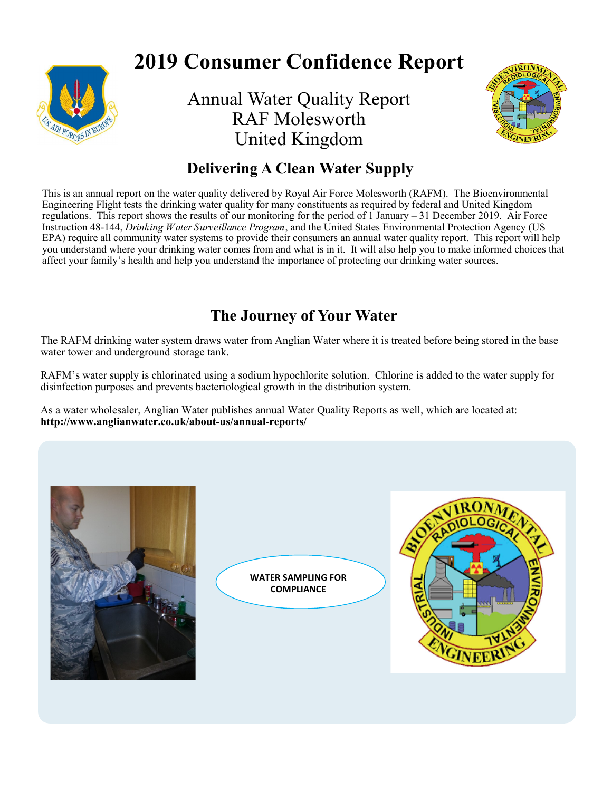

# **2019 Consumer Confidence Report**

Annual Water Quality Report RAF Molesworth United Kingdom



# **Delivering A Clean Water Supply**

This is an annual report on the water quality delivered by Royal Air Force Molesworth (RAFM). The Bioenvironmental Engineering Flight tests the drinking water quality for many constituents as required by federal and United Kingdom regulations. This report shows the results of our monitoring for the period of 1 January – 31 December 2019. Air Force Instruction 48-144, *Drinking Water Surveillance Program*, and the United States Environmental Protection Agency (US EPA) require all community water systems to provide their consumers an annual water quality report. This report will help you understand where your drinking water comes from and what is in it. It will also help you to make informed choices that affect your family's health and help you understand the importance of protecting our drinking water sources.

# **The Journey of Your Water**

The RAFM drinking water system draws water from Anglian Water where it is treated before being stored in the base water tower and underground storage tank.

RAFM's water supply is chlorinated using a sodium hypochlorite solution. Chlorine is added to the water supply for disinfection purposes and prevents bacteriological growth in the distribution system.

As a water wholesaler, Anglian Water publishes annual Water Quality Reports as well, which are located at: **http://www.anglianwater.co.uk/about-us/annual-reports/** 



**WATER SAMPLING FOR COMPLIANCE**

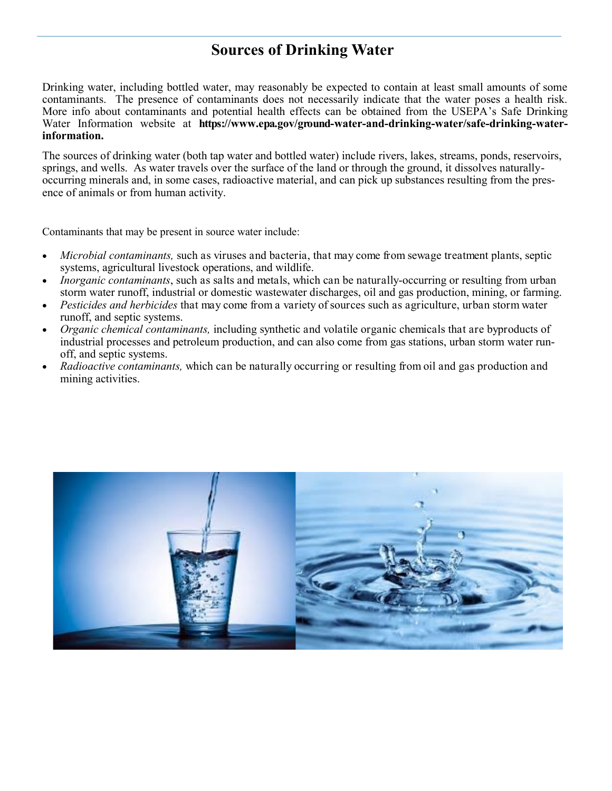# **Sources of Drinking Water**

Drinking water, including bottled water, may reasonably be expected to contain at least small amounts of some contaminants. The presence of contaminants does not necessarily indicate that the water poses a health risk. More info about contaminants and potential health effects can be obtained from the USEPA's Safe Drinking Water Information website at **https://www.epa.gov/ground-water-and-drinking-water/safe-drinking-waterinformation.** 

The sources of drinking water (both tap water and bottled water) include rivers, lakes, streams, ponds, reservoirs, springs, and wells. As water travels over the surface of the land or through the ground, it dissolves naturallyoccurring minerals and, in some cases, radioactive material, and can pick up substances resulting from the presence of animals or from human activity.

Contaminants that may be present in source water include:

- *Microbial contaminants,* such as viruses and bacteria, that may come from sewage treatment plants, septic systems, agricultural livestock operations, and wildlife.
- *Inorganic contaminants*, such as salts and metals, which can be naturally-occurring or resulting from urban storm water runoff, industrial or domestic wastewater discharges, oil and gas production, mining, or farming.
- *Pesticides and herbicides* that may come from a variety of sources such as agriculture, urban storm water runoff, and septic systems.
- *Organic chemical contaminants,* including synthetic and volatile organic chemicals that are byproducts of industrial processes and petroleum production, and can also come from gas stations, urban storm water runoff, and septic systems.
- *Radioactive contaminants,* which can be naturally occurring or resulting from oil and gas production and mining activities.

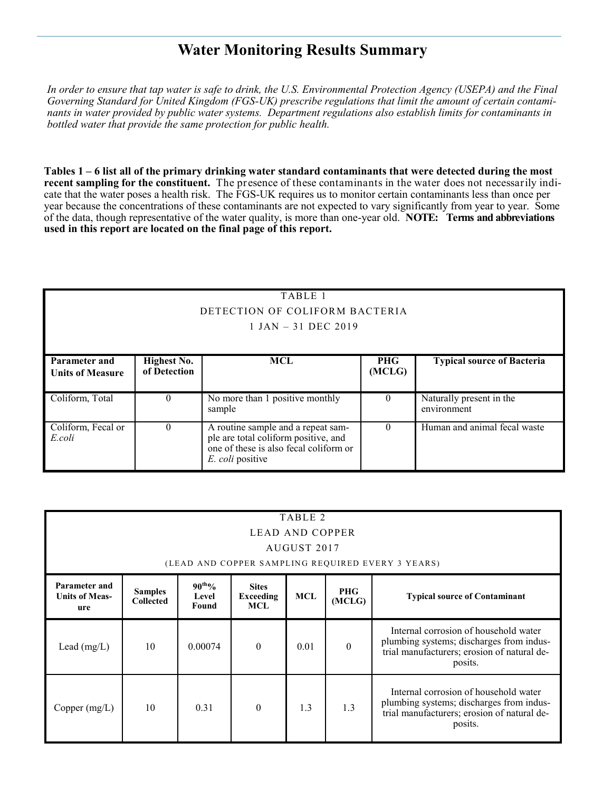### **Water Monitoring Results Summary**

*In order to ensure that tap water is safe to drink, the U.S. Environmental Protection Agency (USEPA) and the Final Governing Standard for United Kingdom (FGS-UK) prescribe regulations that limit the amount of certain contaminants in water provided by public water systems. Department regulations also establish limits for contaminants in bottled water that provide the same protection for public health.*

**Tables 1 – 6 list all of the primary drinking water standard contaminants that were detected during the most recent sampling for the constituent.** The presence of these contaminants in the water does not necessarily indicate that the water poses a health risk. The FGS-UK requires us to monitor certain contaminants less than once per year because the concentrations of these contaminants are not expected to vary significantly from year to year. Some of the data, though representative of the water quality, is more than one-year old. **NOTE: Terms and abbreviations used in this report are located on the final page of this report.**

|                                                 |                                | TABLE 1                                                                                                                                  |                      |                                         |  |  |  |  |  |
|-------------------------------------------------|--------------------------------|------------------------------------------------------------------------------------------------------------------------------------------|----------------------|-----------------------------------------|--|--|--|--|--|
|                                                 | DETECTION OF COLIFORM BACTERIA |                                                                                                                                          |                      |                                         |  |  |  |  |  |
|                                                 | $1$ JAN $-$ 31 DEC 2019        |                                                                                                                                          |                      |                                         |  |  |  |  |  |
|                                                 |                                |                                                                                                                                          |                      |                                         |  |  |  |  |  |
| <b>Parameter and</b><br><b>Units of Measure</b> | Highest No.<br>of Detection    | <b>MCL</b>                                                                                                                               | <b>PHG</b><br>(MCLG) | <b>Typical source of Bacteria</b>       |  |  |  |  |  |
| Coliform, Total                                 | $\Omega$                       | No more than 1 positive monthly<br>sample                                                                                                | $\theta$             | Naturally present in the<br>environment |  |  |  |  |  |
| Coliform, Fecal or<br>E.coli                    | $\Omega$                       | A routine sample and a repeat sam-<br>ple are total coliform positive, and<br>one of these is also fecal coliform or<br>E. coli positive | $\Omega$             | Human and animal fecal waste            |  |  |  |  |  |

| TABLE 2<br>LEAD AND COPPER                    |                                                                                                                                                                                                     |         |          |      |          |                                                                                                                                             |  |  |
|-----------------------------------------------|-----------------------------------------------------------------------------------------------------------------------------------------------------------------------------------------------------|---------|----------|------|----------|---------------------------------------------------------------------------------------------------------------------------------------------|--|--|
|                                               | AUGUST 2017<br>(LEAD AND COPPER SAMPLING REQUIRED EVERY 3 YEARS)                                                                                                                                    |         |          |      |          |                                                                                                                                             |  |  |
| Parameter and<br><b>Units of Meas-</b><br>ure | $90^{th}\%$<br><b>Sites</b><br><b>PHG</b><br><b>Samples</b><br><b>MCL</b><br><b>Exceeding</b><br><b>Typical source of Contaminant</b><br>Level<br><b>Collected</b><br>(MCLG)<br><b>MCL</b><br>Found |         |          |      |          |                                                                                                                                             |  |  |
| Lead (mg/L)                                   | 10                                                                                                                                                                                                  | 0.00074 | $\Omega$ | 0.01 | $\theta$ | Internal corrosion of household water<br>plumbing systems; discharges from indus-<br>trial manufacturers; erosion of natural de-<br>posits. |  |  |
| Copper $(mg/L)$                               | 10                                                                                                                                                                                                  | 0.31    | $\Omega$ | 1.3  | 1.3      | Internal corrosion of household water<br>plumbing systems; discharges from indus-<br>trial manufacturers; erosion of natural de-<br>posits. |  |  |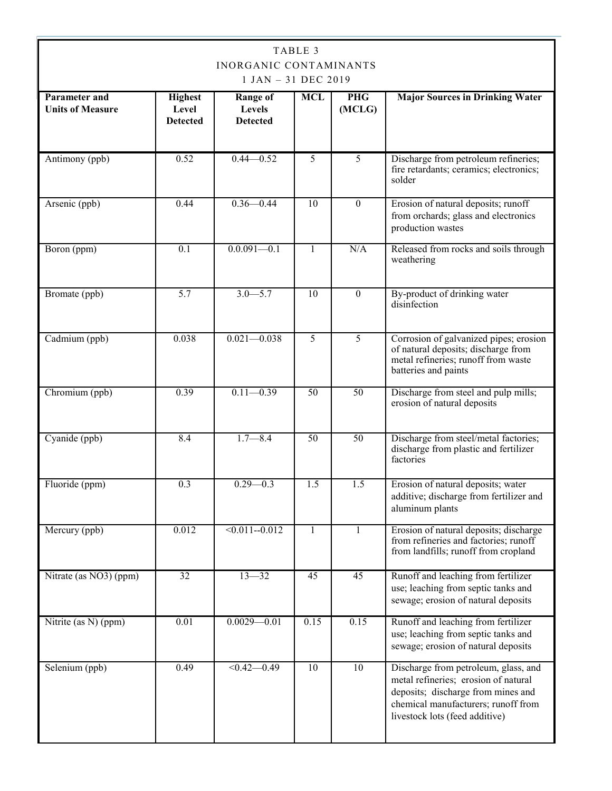| TABLE 3<br><b>INORGANIC CONTAMINANTS</b><br>1 JAN - 31 DEC 2019 |                                            |                                              |                 |                      |                                                                                                                                                                                             |  |
|-----------------------------------------------------------------|--------------------------------------------|----------------------------------------------|-----------------|----------------------|---------------------------------------------------------------------------------------------------------------------------------------------------------------------------------------------|--|
| <b>Parameter and</b><br><b>Units of Measure</b>                 | <b>Highest</b><br>Level<br><b>Detected</b> | <b>Range of</b><br>Levels<br><b>Detected</b> | <b>MCL</b>      | <b>PHG</b><br>(MCLG) | <b>Major Sources in Drinking Water</b>                                                                                                                                                      |  |
| Antimony (ppb)                                                  | 0.52                                       | $0.44 - 0.52$                                | 5               | 5                    | Discharge from petroleum refineries;<br>fire retardants; ceramics; electronics;<br>solder                                                                                                   |  |
| Arsenic (ppb)                                                   | 0.44                                       | $0.36 - 0.44$                                | $\overline{10}$ | $\theta$             | Erosion of natural deposits; runoff<br>from orchards; glass and electronics<br>production wastes                                                                                            |  |
| Boron (ppm)                                                     | 0.1                                        | $0.0.091 - 0.1$                              | $\mathbf{1}$    | N/A                  | Released from rocks and soils through<br>weathering                                                                                                                                         |  |
| Bromate (ppb)                                                   | $\overline{5.7}$                           | $3.0 - 5.7$                                  | $\overline{10}$ | $\Omega$             | By-product of drinking water<br>disinfection                                                                                                                                                |  |
| Cadmium (ppb)                                                   | 0.038                                      | $0.021 - 0.038$                              | $\overline{5}$  | 5                    | Corrosion of galvanized pipes; erosion<br>of natural deposits; discharge from<br>metal refineries; runoff from waste<br>batteries and paints                                                |  |
| Chromium (ppb)                                                  | 0.39                                       | $0.11 - 0.39$                                | $\overline{50}$ | 50                   | Discharge from steel and pulp mills;<br>erosion of natural deposits                                                                                                                         |  |
| Cyanide (ppb)                                                   | 8.4                                        | $1.7 - 8.4$                                  | $\overline{50}$ | $\overline{50}$      | Discharge from steel/metal factories;<br>discharge from plastic and fertilizer<br>factories                                                                                                 |  |
| Fluoride (ppm)                                                  | 0.3                                        | $0.29 - 0.3$                                 | 1.5             | 1.5                  | Erosion of natural deposits; water<br>additive; discharge from fertilizer and<br>aluminum plants                                                                                            |  |
| Mercury (ppb)                                                   | 0.012                                      | $\sqrt{0.011 - 0.012}$                       | 1               | 1                    | Erosion of natural deposits; discharge<br>from refineries and factories; runoff<br>from landfills; runoff from cropland                                                                     |  |
| Nitrate (as NO3) (ppm)                                          | 32                                         | $13 - 32$                                    | $\overline{45}$ | $\overline{45}$      | Runoff and leaching from fertilizer<br>use; leaching from septic tanks and<br>sewage; erosion of natural deposits                                                                           |  |
| Nitrite (as N) (ppm)                                            | 0.01                                       | $0.0029 - 0.01$                              | 0.15            | 0.15                 | Runoff and leaching from fertilizer<br>use; leaching from septic tanks and<br>sewage; erosion of natural deposits                                                                           |  |
| Selenium (ppb)                                                  | 0.49                                       | $\overline{0.42 - 0.49}$                     | $\overline{10}$ | 10                   | Discharge from petroleum, glass, and<br>metal refineries; erosion of natural<br>deposits; discharge from mines and<br>chemical manufacturers; runoff from<br>livestock lots (feed additive) |  |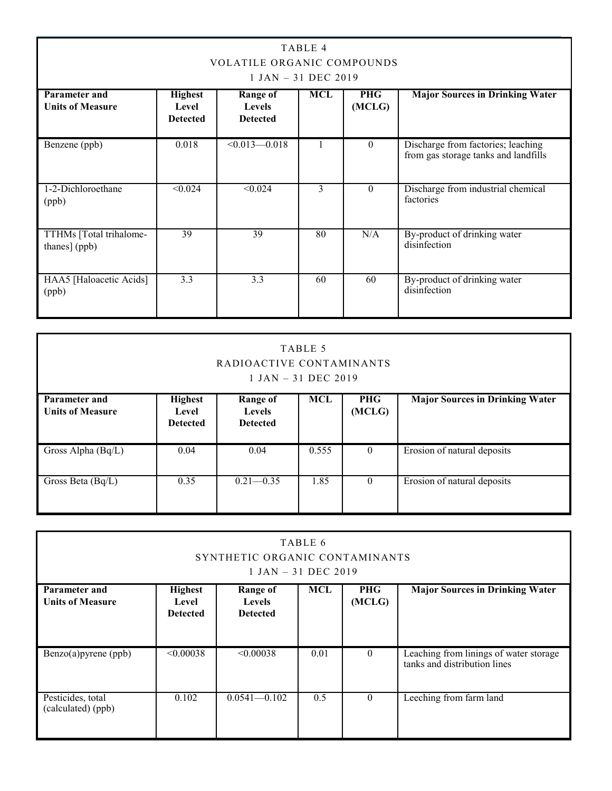| TABLE 4<br><b>VOLATILE ORGANIC COMPOUNDS</b><br>$1$ JAN $-$ 31 DEC 2019 |                                            |                                                     |     |                      |                                                                            |  |
|-------------------------------------------------------------------------|--------------------------------------------|-----------------------------------------------------|-----|----------------------|----------------------------------------------------------------------------|--|
| <b>Parameter and</b><br><b>Units of Measure</b>                         | <b>Highest</b><br>Level<br><b>Detected</b> | <b>Range of</b><br><b>Levels</b><br><b>Detected</b> | MCL | <b>PHG</b><br>(MCLG) | <b>Major Sources in Drinking Water</b>                                     |  |
| Benzene (ppb)                                                           | 0.018                                      | $\leq 0.013 - 0.018$                                |     | $\theta$             | Discharge from factories; leaching<br>from gas storage tanks and landfills |  |
| 1-2-Dichloroethane<br>(ppb)                                             | < 0.024                                    | < 0.024                                             | 3   | $\theta$             | Discharge from industrial chemical<br>factories                            |  |
| TTHMs [Total trihalome-<br>thanes] (ppb)                                | 39                                         | 39                                                  | 80  | N/A                  | By-product of drinking water<br>disinfection                               |  |
| HAA5 [Haloacetic Acids]<br>(ppb)                                        | 3.3                                        | 3.3                                                 | 60  | 60                   | By-product of drinking water<br>disinfection                               |  |

| TABLE 5<br>RADIOACTIVE CONTAMINANTS<br>$1$ JAN $-$ 31 DEC 2019 |                                            |                                              |            |                      |                                        |  |
|----------------------------------------------------------------|--------------------------------------------|----------------------------------------------|------------|----------------------|----------------------------------------|--|
| <b>Parameter and</b><br><b>Units of Measure</b>                | <b>Highest</b><br>Level<br><b>Detected</b> | Range of<br><b>Levels</b><br><b>Detected</b> | <b>MCL</b> | <b>PHG</b><br>(MCLG) | <b>Major Sources in Drinking Water</b> |  |
| $\overline{\text{Gross}}$ Alpha (Bq/L)                         | 0.04                                       | 0.04                                         | 0.555      | $\theta$             | Erosion of natural deposits            |  |
| Gross Beta (Bq/L)                                              | 0.35                                       | $0.21 - 0.35$                                | 1.85       | $\theta$             | Erosion of natural deposits            |  |

| TABLE 6<br>SYNTHETIC ORGANIC CONTAMINANTS<br>$1$ JAN $-$ 31 DEC 2019 |                                            |                                              |            |                      |                                                                        |
|----------------------------------------------------------------------|--------------------------------------------|----------------------------------------------|------------|----------------------|------------------------------------------------------------------------|
| <b>Parameter and</b><br><b>Units of Measure</b>                      | <b>Highest</b><br>Level<br><b>Detected</b> | Range of<br><b>Levels</b><br><b>Detected</b> | <b>MCL</b> | <b>PHG</b><br>(MCLG) | <b>Major Sources in Drinking Water</b>                                 |
| Benzo(a)pyrene (ppb)                                                 | < 0.00038                                  | < 0.00038                                    | 0.01       | $\Omega$             | Leaching from linings of water storage<br>tanks and distribution lines |
| Pesticides, total<br>(calculated) (ppb)                              | 0.102                                      | $0.0541 - 0.102$                             | 0.5        | $\theta$             | Leeching from farm land                                                |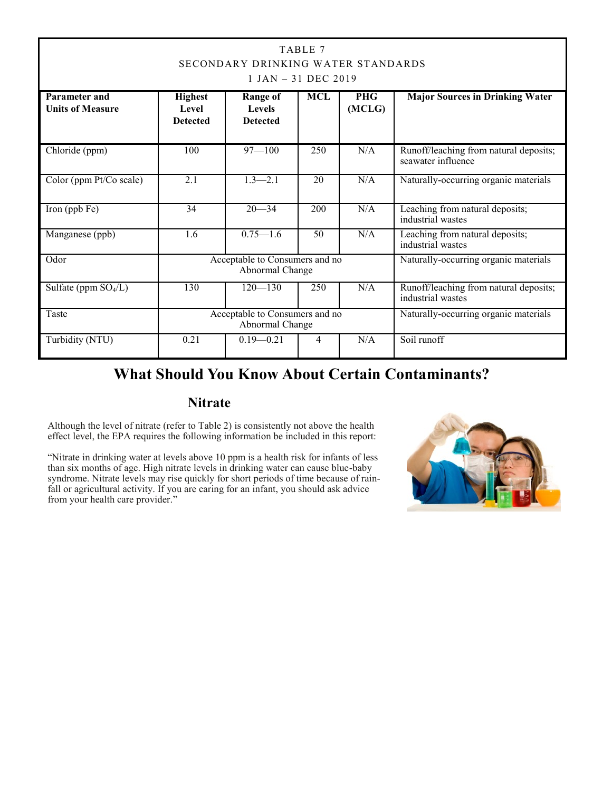| TABLE 7<br>SECONDARY DRINKING WATER STANDARDS<br>$1$ JAN $-$ 31 DEC 2019 |                                                                                            |                                                     |                 |                      |                                                              |  |
|--------------------------------------------------------------------------|--------------------------------------------------------------------------------------------|-----------------------------------------------------|-----------------|----------------------|--------------------------------------------------------------|--|
| Parameter and<br><b>Units of Measure</b>                                 | <b>Highest</b><br><b>Level</b><br><b>Detected</b>                                          | <b>Range of</b><br><b>Levels</b><br><b>Detected</b> | <b>MCL</b>      | <b>PHG</b><br>(MCLG) | <b>Major Sources in Drinking Water</b>                       |  |
| Chloride (ppm)                                                           | 100                                                                                        | $97 - 100$                                          | 250             | N/A                  | Runoff/leaching from natural deposits;<br>seawater influence |  |
| Color (ppm Pt/Co scale)                                                  | $\overline{2.1}$                                                                           | $1.3 - 2.1$                                         | 20              | N/A                  | Naturally-occurring organic materials                        |  |
| Iron (ppb Fe)                                                            | 34                                                                                         | $20 - 34$                                           | 200             | N/A                  | Leaching from natural deposits;<br>industrial wastes         |  |
| Manganese (ppb)                                                          | 1.6                                                                                        | $0.75 - 1.6$                                        | $\overline{50}$ | N/A                  | Leaching from natural deposits;<br>industrial wastes         |  |
| Odor                                                                     | Acceptable to Consumers and no<br>Naturally-occurring organic materials<br>Abnormal Change |                                                     |                 |                      |                                                              |  |
| Sulfate (ppm $SO_4/L$ )                                                  | 130                                                                                        | $120 - 130$                                         | 250             | N/A                  | Runoff/leaching from natural deposits;<br>industrial wastes  |  |
| Taste                                                                    | Acceptable to Consumers and no<br>Naturally-occurring organic materials<br>Abnormal Change |                                                     |                 |                      |                                                              |  |
| Turbidity (NTU)                                                          | 0.21                                                                                       | $0.19 - 0.21$                                       | Soil runoff     |                      |                                                              |  |

### **What Should You Know About Certain Contaminants?**

#### **Nitrate**

Although the level of nitrate (refer to Table 2) is consistently not above the health effect level, the EPA requires the following information be included in this report:

"Nitrate in drinking water at levels above 10 ppm is a health risk for infants of less than six months of age. High nitrate levels in drinking water can cause blue-baby syndrome. Nitrate levels may rise quickly for short periods of time because of rainfall or agricultural activity. If you are caring for an infant, you should ask advice from your health care provider."